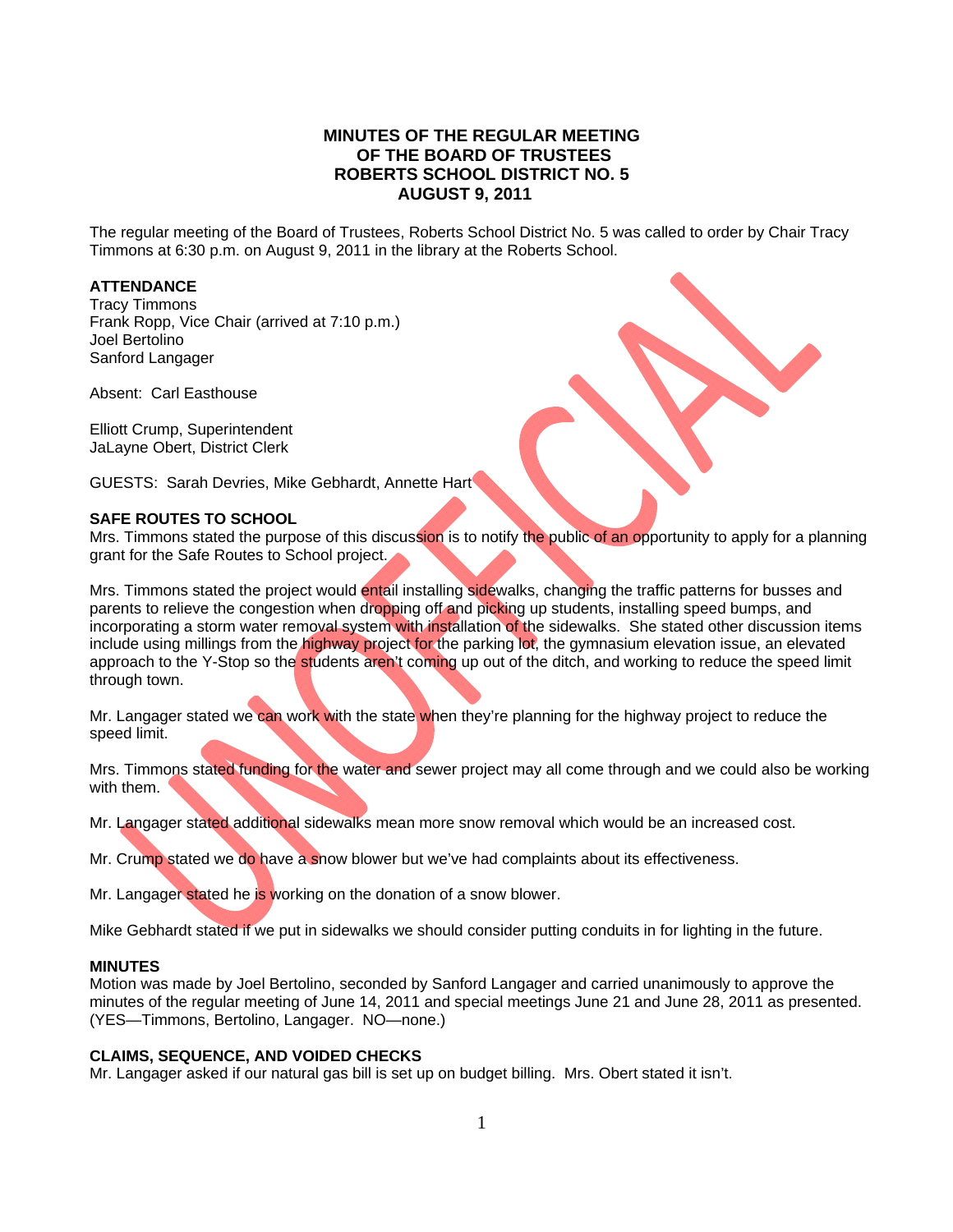# **MINUTES OF THE REGULAR MEETING OF THE BOARD OF TRUSTEES ROBERTS SCHOOL DISTRICT NO. 5 AUGUST 9, 2011**

The regular meeting of the Board of Trustees, Roberts School District No. 5 was called to order by Chair Tracy Timmons at 6:30 p.m. on August 9, 2011 in the library at the Roberts School.

## **ATTENDANCE**

Tracy Timmons Frank Ropp, Vice Chair (arrived at 7:10 p.m.) Joel Bertolino Sanford Langager

Absent: Carl Easthouse

Elliott Crump, Superintendent JaLayne Obert, District Clerk

GUESTS: Sarah Devries, Mike Gebhardt, Annette Hart

## **SAFE ROUTES TO SCHOOL**

Mrs. Timmons stated the purpose of this discussion is to notify the public of an opportunity to apply for a planning grant for the Safe Routes to School project.

Mrs. Timmons stated the project would entail installing sidewalks, changing the traffic patterns for busses and parents to relieve the congestion when dropping off and picking up students, installing speed bumps, and incorporating a storm water removal system with installation of the sidewalks. She stated other discussion items include using millings from the highway project for the parking lot, the gymnasium elevation issue, an elevated approach to the Y-Stop so the students aren't coming up out of the ditch, and working to reduce the speed limit through town.

Mr. Langager stated we can work with the state when they're planning for the highway project to reduce the speed limit.

Mrs. Timmons stated funding for the water and sewer project may all come through and we could also be working with them.

Mr. Langager stated additional sidewalks mean more snow removal which would be an increased cost.

Mr. Crump stated we do have a snow blower but we've had complaints about its effectiveness.

Mr. Langager stated he is working on the donation of a snow blower.

Mike Gebhardt stated if we put in sidewalks we should consider putting conduits in for lighting in the future.

## **MINUTES**

Motion was made by Joel Bertolino, seconded by Sanford Langager and carried unanimously to approve the minutes of the regular meeting of June 14, 2011 and special meetings June 21 and June 28, 2011 as presented. (YES—Timmons, Bertolino, Langager. NO—none.)

#### **CLAIMS, SEQUENCE, AND VOIDED CHECKS**

Mr. Langager asked if our natural gas bill is set up on budget billing. Mrs. Obert stated it isn't.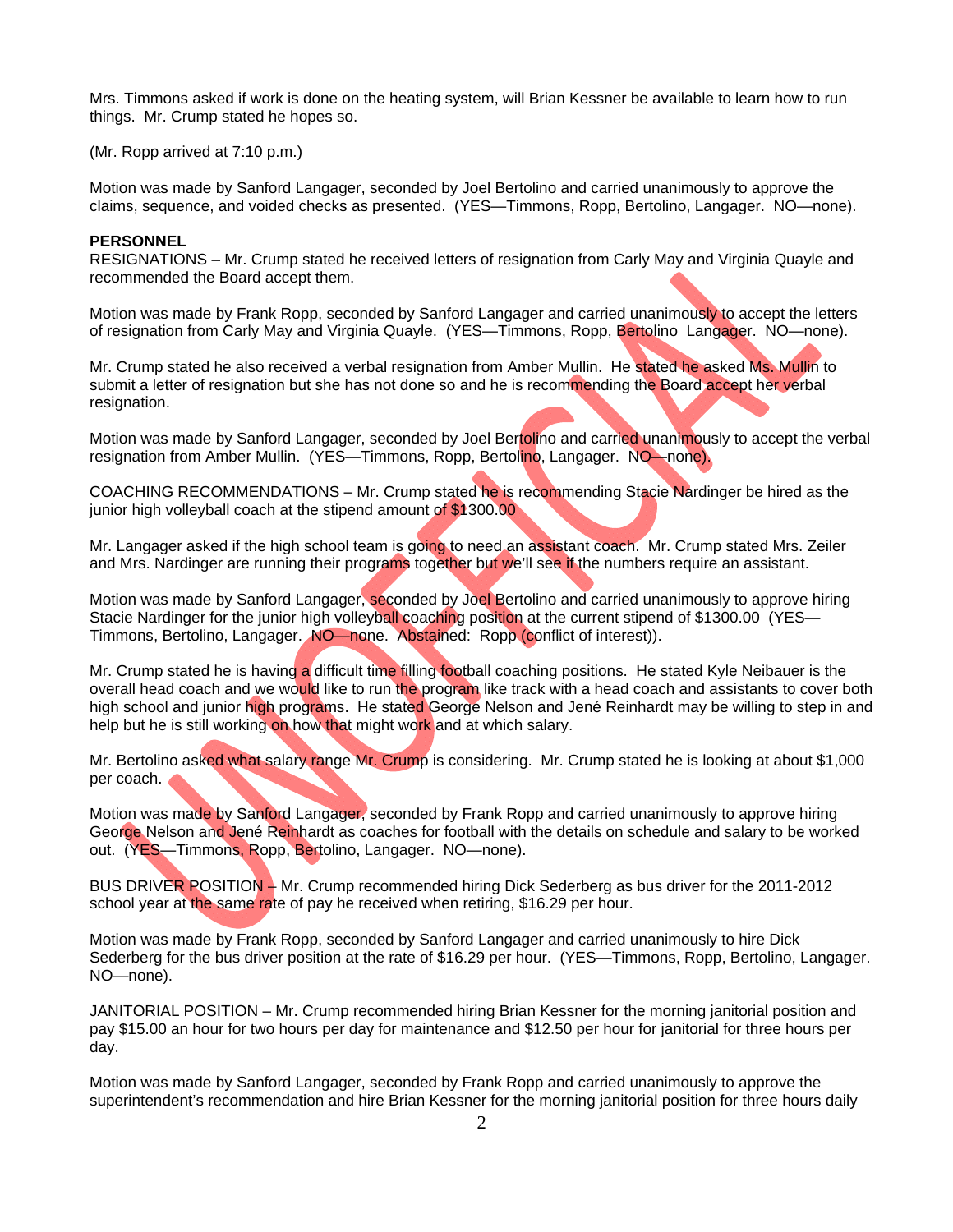Mrs. Timmons asked if work is done on the heating system, will Brian Kessner be available to learn how to run things. Mr. Crump stated he hopes so.

(Mr. Ropp arrived at 7:10 p.m.)

Motion was made by Sanford Langager, seconded by Joel Bertolino and carried unanimously to approve the claims, sequence, and voided checks as presented. (YES—Timmons, Ropp, Bertolino, Langager. NO—none).

### **PERSONNEL**

RESIGNATIONS – Mr. Crump stated he received letters of resignation from Carly May and Virginia Quayle and recommended the Board accept them.

Motion was made by Frank Ropp, seconded by Sanford Langager and carried unanimously to accept the letters of resignation from Carly May and Virginia Quayle. (YES—Timmons, Ropp, Bertolino Langager. NO—none).

Mr. Crump stated he also received a verbal resignation from Amber Mullin. He stated he asked Ms. Mullin to submit a letter of resignation but she has not done so and he is recommending the Board accept her verbal resignation.

Motion was made by Sanford Langager, seconded by Joel Bertolino and carried unanimously to accept the verbal resignation from Amber Mullin. (YES—Timmons, Ropp, Bertolino, Langager. NO—none).

COACHING RECOMMENDATIONS – Mr. Crump stated he is recommending Stacie Nardinger be hired as the junior high volleyball coach at the stipend amount of \$1300.00

Mr. Langager asked if the high school team is going to need an assistant coach. Mr. Crump stated Mrs. Zeiler and Mrs. Nardinger are running their programs together but we'll see if the numbers require an assistant.

Motion was made by Sanford Langager, seconded by Joel Bertolino and carried unanimously to approve hiring Stacie Nardinger for the junior high volleyball coaching position at the current stipend of \$1300.00 (YES— Timmons, Bertolino, Langager. NO—none. Abstained: Ropp (conflict of interest)).

Mr. Crump stated he is having a difficult time filling football coaching positions. He stated Kyle Neibauer is the overall head coach and we would like to run the program like track with a head coach and assistants to cover both high school and junior high programs. He stated George Nelson and Jené Reinhardt may be willing to step in and help but he is still working on how that might work and at which salary.

Mr. Bertolino asked what salary range Mr. Crump is considering. Mr. Crump stated he is looking at about \$1,000 per coach.

Motion was made by Sanford Langager, seconded by Frank Ropp and carried unanimously to approve hiring George Nelson and Jené Reinhardt as coaches for football with the details on schedule and salary to be worked out. (YES—Timmons, Ropp, Bertolino, Langager. NO—none).

BUS DRIVER POSITION – Mr. Crump recommended hiring Dick Sederberg as bus driver for the 2011-2012 school year at the same rate of pay he received when retiring, \$16.29 per hour.

Motion was made by Frank Ropp, seconded by Sanford Langager and carried unanimously to hire Dick Sederberg for the bus driver position at the rate of \$16.29 per hour. (YES—Timmons, Ropp, Bertolino, Langager. NO—none).

JANITORIAL POSITION – Mr. Crump recommended hiring Brian Kessner for the morning janitorial position and pay \$15.00 an hour for two hours per day for maintenance and \$12.50 per hour for janitorial for three hours per day.

Motion was made by Sanford Langager, seconded by Frank Ropp and carried unanimously to approve the superintendent's recommendation and hire Brian Kessner for the morning janitorial position for three hours daily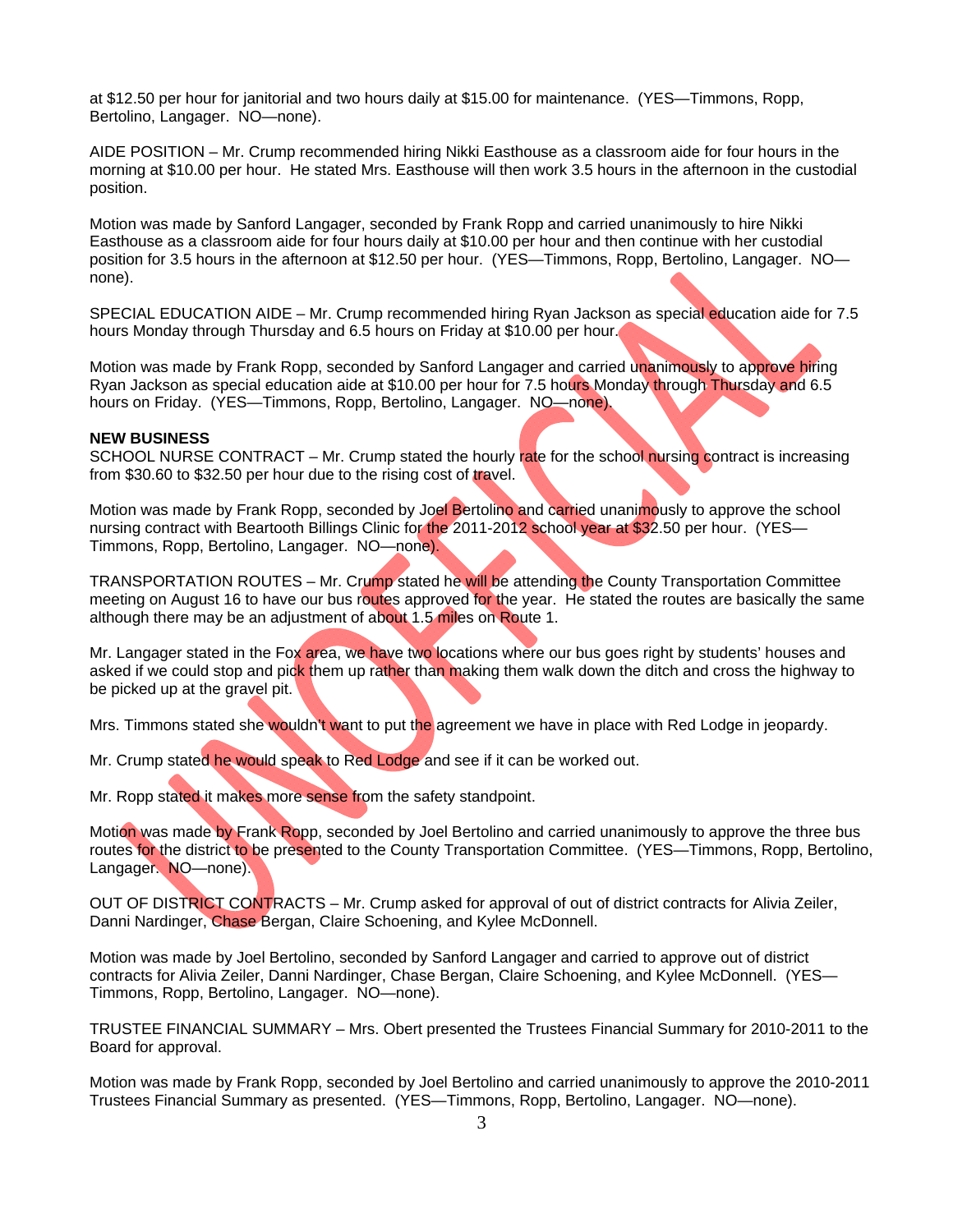at \$12.50 per hour for janitorial and two hours daily at \$15.00 for maintenance. (YES—Timmons, Ropp, Bertolino, Langager. NO—none).

AIDE POSITION – Mr. Crump recommended hiring Nikki Easthouse as a classroom aide for four hours in the morning at \$10.00 per hour. He stated Mrs. Easthouse will then work 3.5 hours in the afternoon in the custodial position.

Motion was made by Sanford Langager, seconded by Frank Ropp and carried unanimously to hire Nikki Easthouse as a classroom aide for four hours daily at \$10.00 per hour and then continue with her custodial position for 3.5 hours in the afternoon at \$12.50 per hour. (YES—Timmons, Ropp, Bertolino, Langager. NO none).

SPECIAL EDUCATION AIDE – Mr. Crump recommended hiring Ryan Jackson as special education aide for 7.5 hours Monday through Thursday and 6.5 hours on Friday at \$10.00 per hour.

Motion was made by Frank Ropp, seconded by Sanford Langager and carried unanimously to approve hiring Ryan Jackson as special education aide at \$10.00 per hour for 7.5 hours Monday through Thursday and 6.5 hours on Friday. (YES—Timmons, Ropp, Bertolino, Langager. NO—none).

### **NEW BUSINESS**

SCHOOL NURSE CONTRACT – Mr. Crump stated the hourly rate for the school nursing contract is increasing from \$30.60 to \$32.50 per hour due to the rising cost of travel.

Motion was made by Frank Ropp, seconded by Joel Bertolino and carried unanimously to approve the school nursing contract with Beartooth Billings Clinic for the 2011-2012 school year at \$32.50 per hour. (YES— Timmons, Ropp, Bertolino, Langager. NO—none).

TRANSPORTATION ROUTES - Mr. Crump stated he will be attending the County Transportation Committee meeting on August 16 to have our bus routes approved for the year. He stated the routes are basically the same although there may be an adjustment of about 1.5 miles on Route 1.

Mr. Langager stated in the Fox area, we have two locations where our bus goes right by students' houses and asked if we could stop and pick them up rather than making them walk down the ditch and cross the highway to be picked up at the gravel pit.

Mrs. Timmons stated she wouldn't want to put the agreement we have in place with Red Lodge in jeopardy.

Mr. Crump stated he would speak to Red Lodge and see if it can be worked out.

Mr. Ropp stated it makes more sense from the safety standpoint.

Motion was made by Frank Ropp, seconded by Joel Bertolino and carried unanimously to approve the three bus routes for the district to be presented to the County Transportation Committee. (YES—Timmons, Ropp, Bertolino, Langager. NO—none).

OUT OF DISTRICT CONTRACTS – Mr. Crump asked for approval of out of district contracts for Alivia Zeiler, Danni Nardinger, Chase Bergan, Claire Schoening, and Kylee McDonnell.

Motion was made by Joel Bertolino, seconded by Sanford Langager and carried to approve out of district contracts for Alivia Zeiler, Danni Nardinger, Chase Bergan, Claire Schoening, and Kylee McDonnell. (YES— Timmons, Ropp, Bertolino, Langager. NO—none).

TRUSTEE FINANCIAL SUMMARY – Mrs. Obert presented the Trustees Financial Summary for 2010-2011 to the Board for approval.

Motion was made by Frank Ropp, seconded by Joel Bertolino and carried unanimously to approve the 2010-2011 Trustees Financial Summary as presented. (YES—Timmons, Ropp, Bertolino, Langager. NO—none).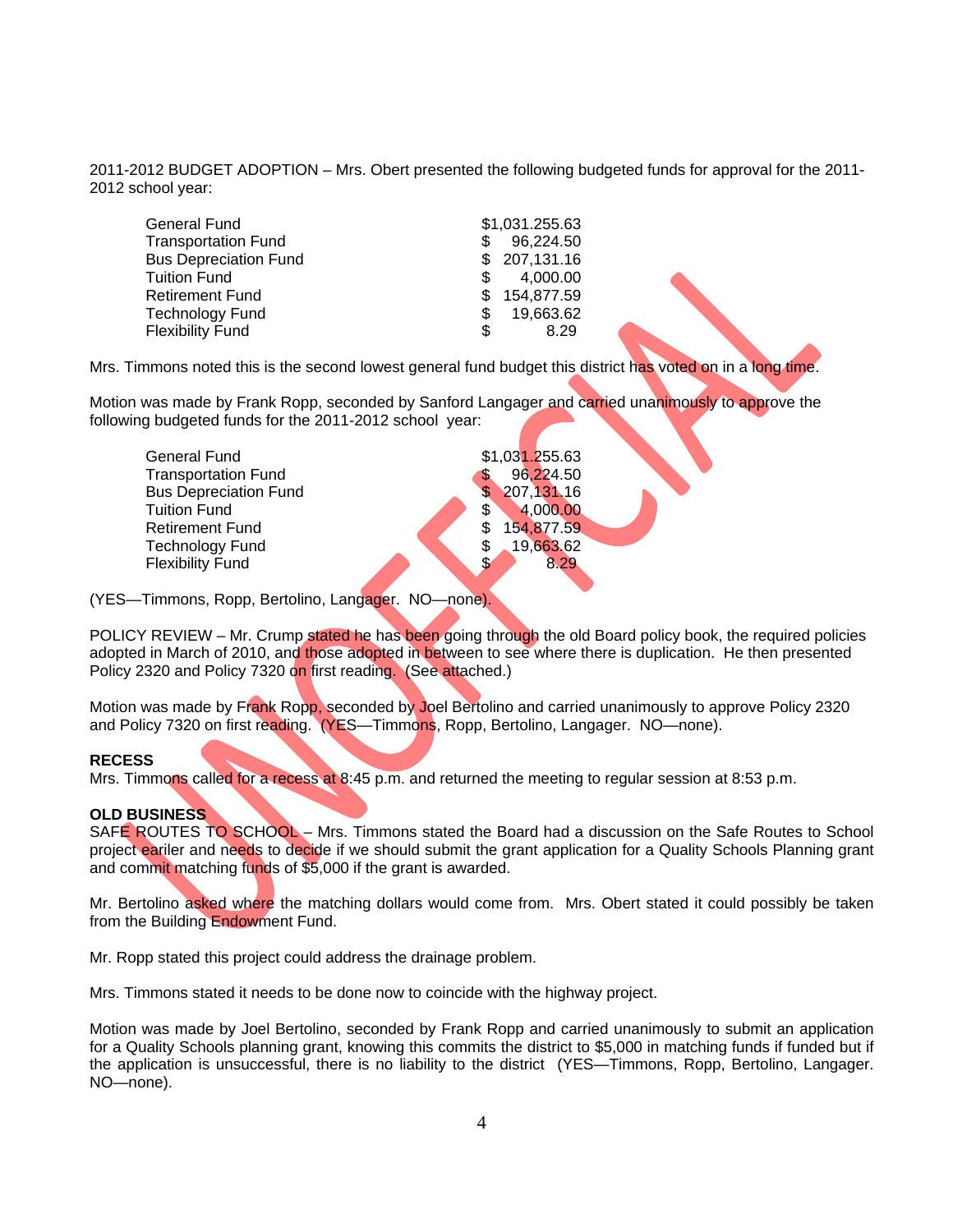2011-2012 BUDGET ADOPTION – Mrs. Obert presented the following budgeted funds for approval for the 2011- 2012 school year:

| <b>General Fund</b>          | \$1,031.255.63 |
|------------------------------|----------------|
| <b>Transportation Fund</b>   | 96,224.50      |
| <b>Bus Depreciation Fund</b> | \$207,131.16   |
| <b>Tuition Fund</b>          | 4,000.00       |
| <b>Retirement Fund</b>       | 154,877.59     |
| <b>Technology Fund</b>       | 19,663.62      |
| <b>Flexibility Fund</b>      | 8.29           |

Mrs. Timmons noted this is the second lowest general fund budget this district has voted on in a long time.

Motion was made by Frank Ropp, seconded by Sanford Langager and carried unanimously to approve the following budgeted funds for the 2011-2012 school year:

| <b>General Fund</b>          | \$1,031.255.63 |
|------------------------------|----------------|
| <b>Transportation Fund</b>   | 96,224.50      |
| <b>Bus Depreciation Fund</b> | 207, 131.16    |
| <b>Tuition Fund</b>          | 4,000.00       |
| <b>Retirement Fund</b>       | 154,877.59     |
| <b>Technology Fund</b>       | 19,663.62      |
| <b>Flexibility Fund</b>      | 8.29           |
|                              |                |

(YES—Timmons, Ropp, Bertolino, Langager. NO—none).

POLICY REVIEW – Mr. Crump stated he has been going through the old Board policy book, the required policies adopted in March of 2010, and those adopted in between to see where there is duplication. He then presented Policy 2320 and Policy 7320 on first reading. (See attached.)

Motion was made by Frank Ropp, seconded by Joel Bertolino and carried unanimously to approve Policy 2320 and Policy 7320 on first reading. (YES—Timmons, Ropp, Bertolino, Langager. NO—none).

## **RECESS**

Mrs. Timmons called for a recess at 8:45 p.m. and returned the meeting to regular session at 8:53 p.m.

## **OLD BUSINESS**

SAFE ROUTES TO SCHOOL – Mrs. Timmons stated the Board had a discussion on the Safe Routes to School project eariler and needs to decide if we should submit the grant application for a Quality Schools Planning grant and commit matching funds of \$5,000 if the grant is awarded.

Mr. Bertolino asked where the matching dollars would come from. Mrs. Obert stated it could possibly be taken from the Building Endowment Fund.

Mr. Ropp stated this project could address the drainage problem.

Mrs. Timmons stated it needs to be done now to coincide with the highway project.

Motion was made by Joel Bertolino, seconded by Frank Ropp and carried unanimously to submit an application for a Quality Schools planning grant, knowing this commits the district to \$5,000 in matching funds if funded but if the application is unsuccessful, there is no liability to the district (YES—Timmons, Ropp, Bertolino, Langager. NO—none).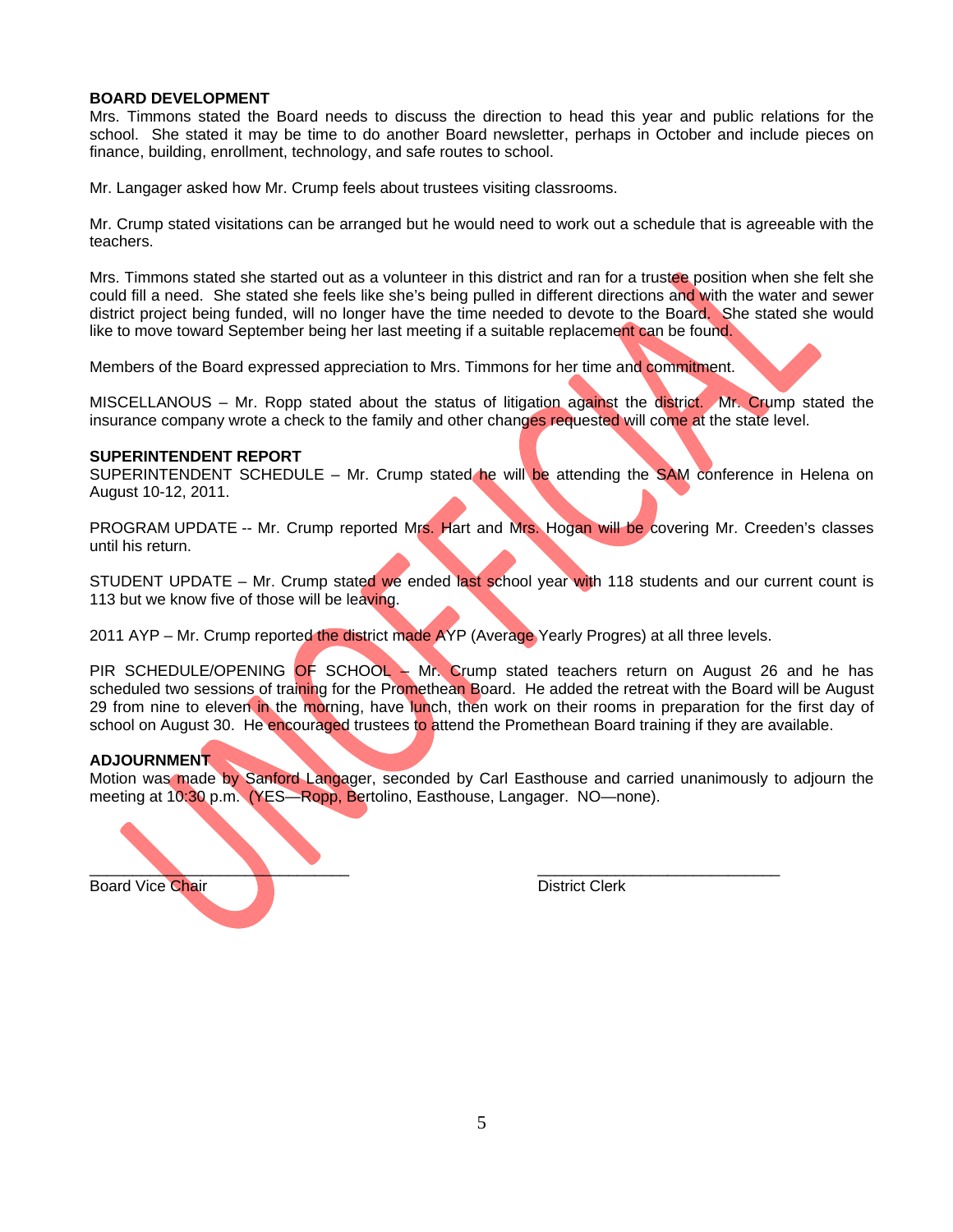### **BOARD DEVELOPMENT**

Mrs. Timmons stated the Board needs to discuss the direction to head this year and public relations for the school. She stated it may be time to do another Board newsletter, perhaps in October and include pieces on finance, building, enrollment, technology, and safe routes to school.

Mr. Langager asked how Mr. Crump feels about trustees visiting classrooms.

Mr. Crump stated visitations can be arranged but he would need to work out a schedule that is agreeable with the teachers.

Mrs. Timmons stated she started out as a volunteer in this district and ran for a trustee position when she felt she could fill a need. She stated she feels like she's being pulled in different directions and with the water and sewer district project being funded, will no longer have the time needed to devote to the Board. She stated she would like to move toward September being her last meeting if a suitable replacement can be found.

Members of the Board expressed appreciation to Mrs. Timmons for her time and commitment.

MISCELLANOUS – Mr. Ropp stated about the status of litigation against the district. Mr. Crump stated the insurance company wrote a check to the family and other changes requested will come at the state level.

### **SUPERINTENDENT REPORT**

SUPERINTENDENT SCHEDULE - Mr. Crump stated he will be attending the SAM conference in Helena on August 10-12, 2011.

PROGRAM UPDATE -- Mr. Crump reported Mrs. Hart and Mrs. Hogan will be covering Mr. Creeden's classes until his return.

STUDENT UPDATE – Mr. Crump stated we ended last school year with 118 students and our current count is 113 but we know five of those will be leaving.

2011 AYP – Mr. Crump reported the district made AYP (Average Yearly Progres) at all three levels.

PIR SCHEDULE/OPENING OF SCHOOL – Mr. Crump stated teachers return on August 26 and he has scheduled two sessions of training for the Promethean Board. He added the retreat with the Board will be August 29 from nine to eleven in the morning, have lunch, then work on their rooms in preparation for the first day of school on August 30. He encouraged trustees to attend the Promethean Board training if they are available.

## **ADJOURNMENT**

Motion was made by Sanford Langager, seconded by Carl Easthouse and carried unanimously to adjourn the meeting at 10:30 p.m. (YES—Ropp, Bertolino, Easthouse, Langager. NO—none).

Board Vice Chair **District Clerk District Clerk** 

 $\blacksquare$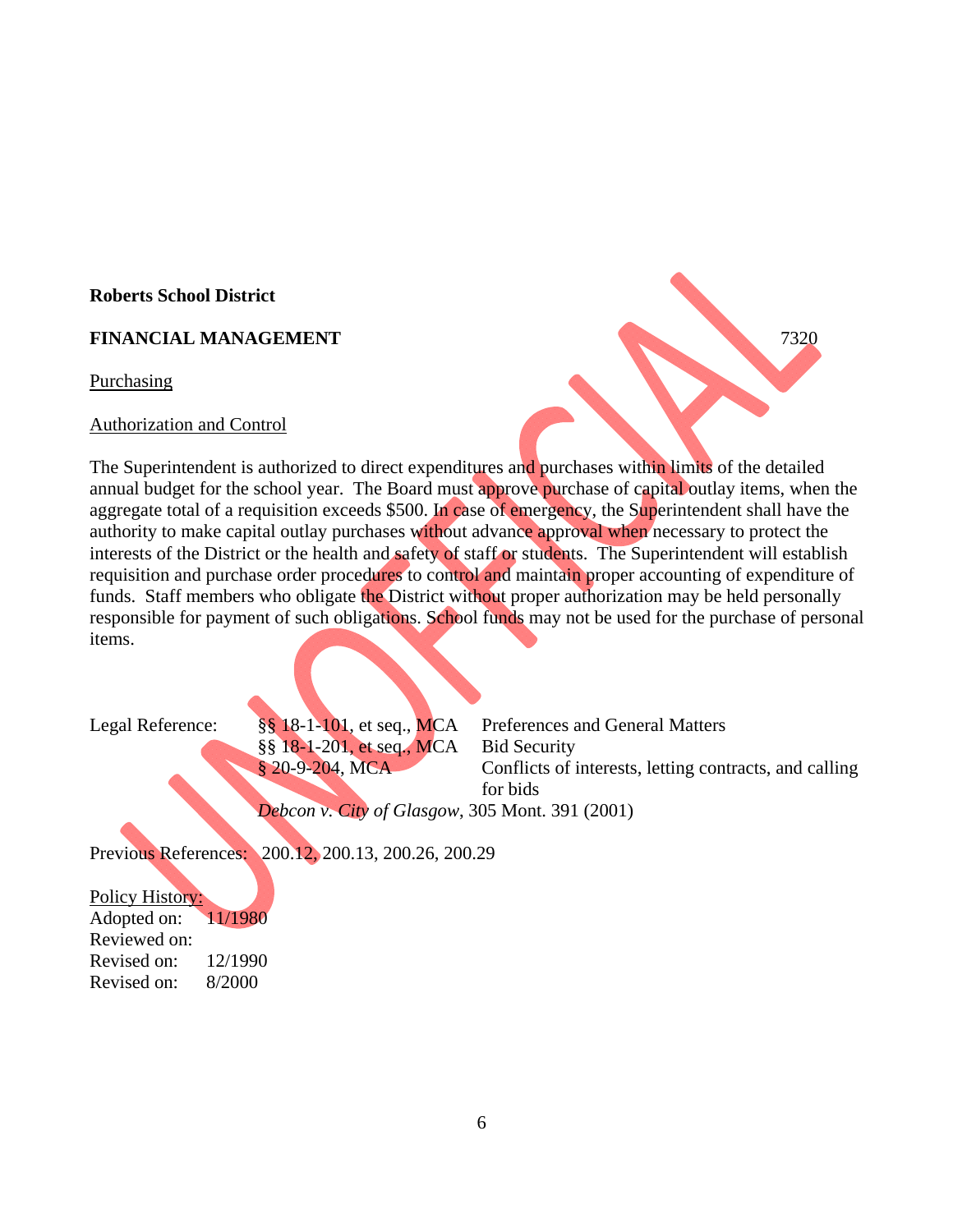# **Roberts School District**

# **FINANCIAL MANAGEMENT** 7320

Purchasing

## Authorization and Control

The Superintendent is authorized to direct expenditures and purchases within limits of the detailed annual budget for the school year. The Board must approve purchase of capital outlay items, when the aggregate total of a requisition exceeds \$500. In case of emergency, the Superintendent shall have the authority to make capital outlay purchases without advance approval when necessary to protect the interests of the District or the health and safety of staff or students. The Superintendent will establish requisition and purchase order procedures to control and maintain proper accounting of expenditure of funds. Staff members who obligate the District without proper authorization may be held personally responsible for payment of such obligations. School funds may not be used for the purchase of personal items.

§§ 18-1-201, et seq., MCA Bid Security

Legal Reference: §§ 18-1-101, et seq., MCA Preferences and General Matters § 20-9-204, MCA Conflicts of interests, letting contracts, and calling for bids

*Debcon v. City of Glasgow*, 305 Mont. 391 (2001)

Previous References: 200.12, 200.13, 200.26, 200.29

Policy History: Adopted on: 11/1980 Reviewed on: Revised on: 12/1990 Revised on: 8/2000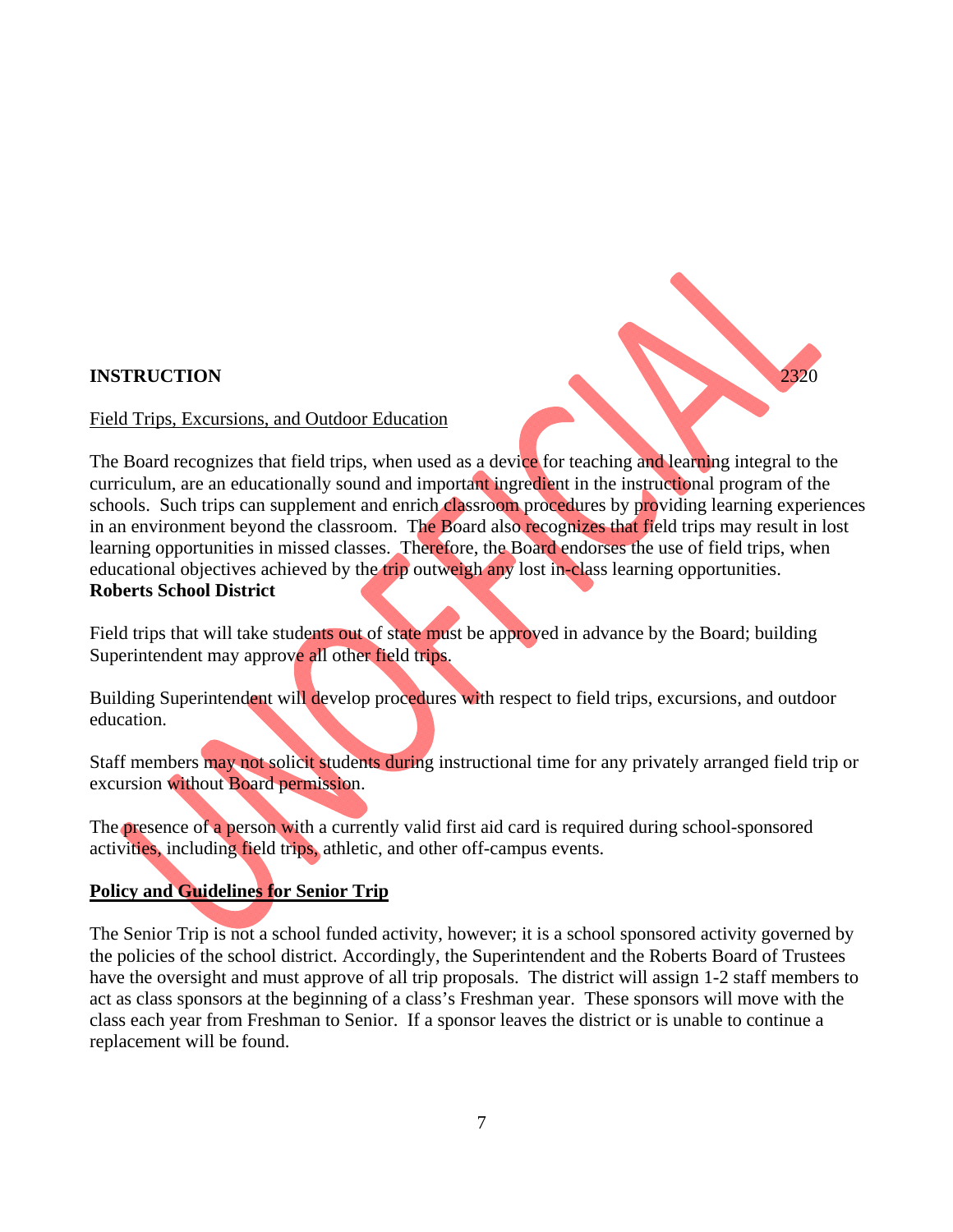# **INSTRUCTION** 2320

# Field Trips, Excursions, and Outdoor Education

The Board recognizes that field trips, when used as a device for teaching and learning integral to the curriculum, are an educationally sound and important ingredient in the instructional program of the schools. Such trips can supplement and enrich classroom procedures by providing learning experiences in an environment beyond the classroom. The Board also recognizes that field trips may result in lost learning opportunities in missed classes. Therefore, the Board endorses the use of field trips, when educational objectives achieved by the trip outweigh any lost in-class learning opportunities. **Roberts School District** 

Field trips that will take students out of state must be approved in advance by the Board; building Superintendent may approve all other field trips.

Building Superintendent will develop procedures with respect to field trips, excursions, and outdoor education.

Staff members may not solicit students during instructional time for any privately arranged field trip or excursion without Board permission.

The presence of a person with a currently valid first aid card is required during school-sponsored activities, including field trips, athletic, and other off-campus events.

# **Policy and Guidelines for Senior Trip**

The Senior Trip is not a school funded activity, however; it is a school sponsored activity governed by the policies of the school district. Accordingly, the Superintendent and the Roberts Board of Trustees have the oversight and must approve of all trip proposals. The district will assign 1-2 staff members to act as class sponsors at the beginning of a class's Freshman year. These sponsors will move with the class each year from Freshman to Senior. If a sponsor leaves the district or is unable to continue a replacement will be found.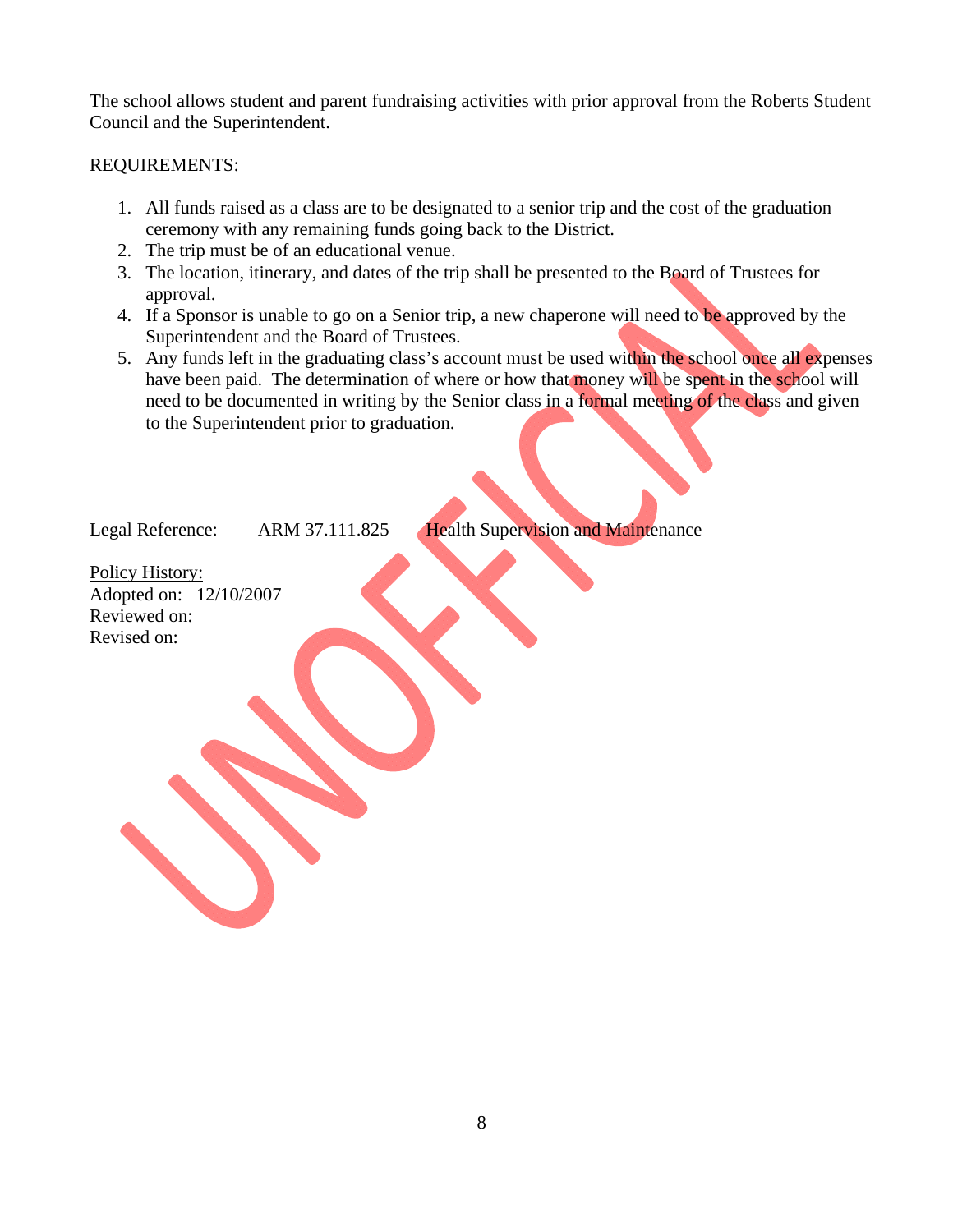The school allows student and parent fundraising activities with prior approval from the Roberts Student Council and the Superintendent.

# REQUIREMENTS:

- 1. All funds raised as a class are to be designated to a senior trip and the cost of the graduation ceremony with any remaining funds going back to the District.
- 2. The trip must be of an educational venue.
- 3. The location, itinerary, and dates of the trip shall be presented to the Board of Trustees for approval.
- 4. If a Sponsor is unable to go on a Senior trip, a new chaperone will need to be approved by the Superintendent and the Board of Trustees.
- 5. Any funds left in the graduating class's account must be used within the school once all expenses have been paid. The determination of where or how that money will be spent in the school will need to be documented in writing by the Senior class in a formal meeting of the class and given to the Superintendent prior to graduation.

Legal Reference: ARM 37.111.825 Health Supervision and Maintenance

Policy History: Adopted on: 12/10/2007 Reviewed on: Revised on: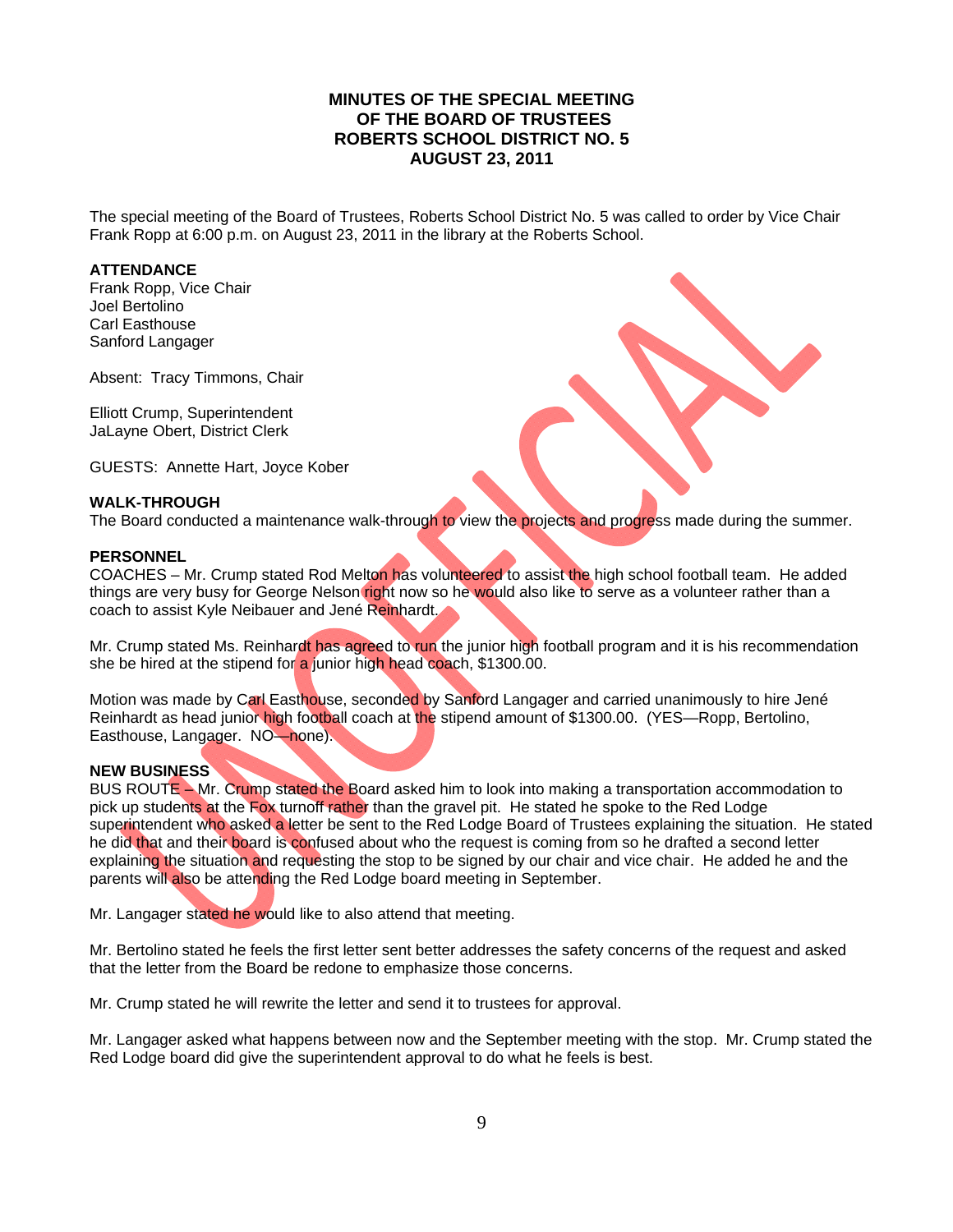# **MINUTES OF THE SPECIAL MEETING OF THE BOARD OF TRUSTEES ROBERTS SCHOOL DISTRICT NO. 5 AUGUST 23, 2011**

The special meeting of the Board of Trustees, Roberts School District No. 5 was called to order by Vice Chair Frank Ropp at 6:00 p.m. on August 23, 2011 in the library at the Roberts School.

### **ATTENDANCE**

Frank Ropp, Vice Chair Joel Bertolino Carl Easthouse Sanford Langager

Absent: Tracy Timmons, Chair

Elliott Crump, Superintendent JaLayne Obert, District Clerk

GUESTS: Annette Hart, Joyce Kober

### **WALK-THROUGH**

The Board conducted a maintenance walk-through to view the projects and progress made during the summer.

### **PERSONNEL**

COACHES – Mr. Crump stated Rod Melton has volunteered to assist the high school football team. He added things are very busy for George Nelson right now so he would also like to serve as a volunteer rather than a coach to assist Kyle Neibauer and Jené Reinhardt.

Mr. Crump stated Ms. Reinhardt has agreed to run the junior high football program and it is his recommendation she be hired at the stipend for a junior high head coach, \$1300.00.

Motion was made by Carl Easthouse, seconded by Sanford Langager and carried unanimously to hire Jené Reinhardt as head junior high football coach at the stipend amount of \$1300.00. (YES—Ropp, Bertolino, Easthouse, Langager. NO—none).

## **NEW BUSINESS**

BUS ROUTE – Mr. Crump stated the Board asked him to look into making a transportation accommodation to pick up students at the Fox turnoff rather than the gravel pit. He stated he spoke to the Red Lodge superintendent who asked a letter be sent to the Red Lodge Board of Trustees explaining the situation. He stated he did that and their board is confused about who the request is coming from so he drafted a second letter explaining the situation and requesting the stop to be signed by our chair and vice chair. He added he and the parents will also be attending the Red Lodge board meeting in September.

Mr. Langager stated he would like to also attend that meeting.

Mr. Bertolino stated he feels the first letter sent better addresses the safety concerns of the request and asked that the letter from the Board be redone to emphasize those concerns.

Mr. Crump stated he will rewrite the letter and send it to trustees for approval.

Mr. Langager asked what happens between now and the September meeting with the stop. Mr. Crump stated the Red Lodge board did give the superintendent approval to do what he feels is best.